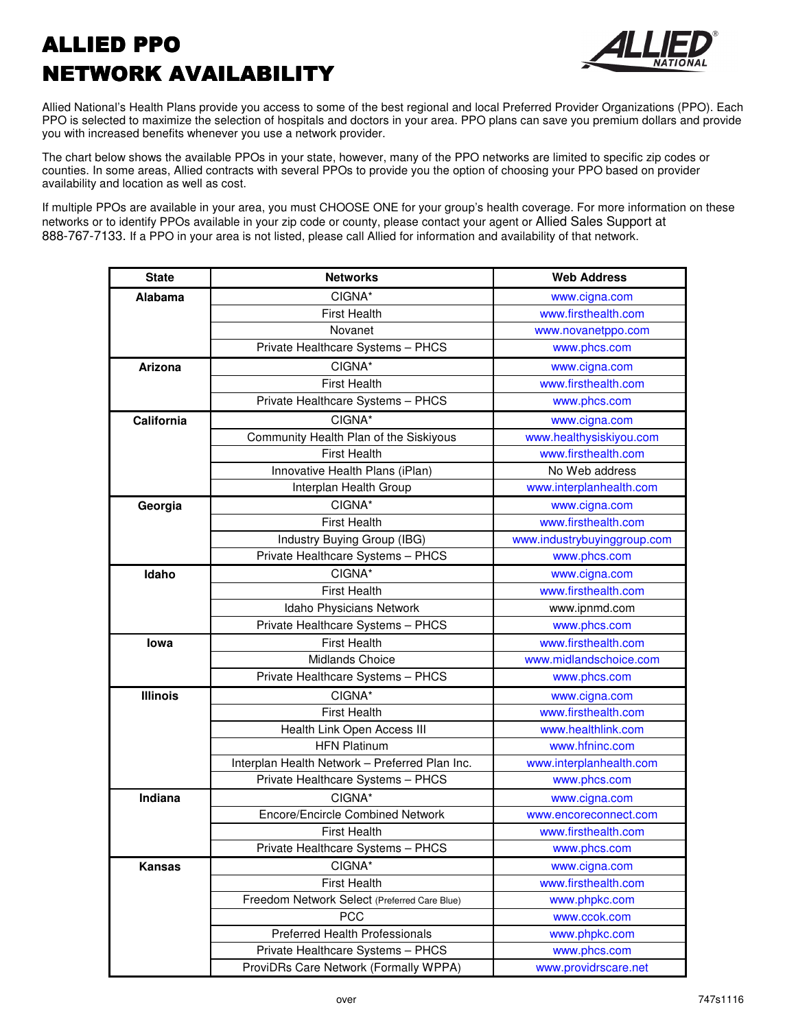## ALLIED PPO ALLIED PPO NETWORK AVAILABILITY



Allied National's Health Plans provide you access to some of the best regional and local Preferred Provider Organizations (PPO). Each PPO is selected to maximize the selection of hospitals and doctors in your area. PPO plans can save you premium dollars and provide you with increased benefits whenever you use a network provider.

The chart below shows the available PPOs in your state, however, many of the PPO networks are limited to specific zip codes or counties. In some areas, Allied contracts with several PPOs to provide you the option of choosing your PPO based on provider availability and location as well as cost.

If multiple PPOs are available in your area, you must CHOOSE ONE for your group's health coverage. For more information on these networks or to identify PPOs available in your zip code or county, please contact your agent or Allied Sales Support at 888-767-7133. If a PPO in your area is not listed, please call Allied for information and availability of that network.

| <b>State</b>    | <b>Networks</b>                                | <b>Web Address</b>          |
|-----------------|------------------------------------------------|-----------------------------|
| Alabama         | CIGNA*                                         | www.cigna.com               |
|                 | <b>First Health</b>                            | www.firsthealth.com         |
|                 | Novanet                                        | www.novanetppo.com          |
|                 | Private Healthcare Systems - PHCS              | www.phcs.com                |
| Arizona         | CIGNA*                                         | www.cigna.com               |
|                 | <b>First Health</b>                            | www.firsthealth.com         |
|                 | Private Healthcare Systems - PHCS              | www.phcs.com                |
| California      | CIGNA*                                         | www.cigna.com               |
|                 | Community Health Plan of the Siskiyous         | www.healthysiskiyou.com     |
|                 | <b>First Health</b>                            | www.firsthealth.com         |
|                 | Innovative Health Plans (iPlan)                | No Web address              |
|                 | Interplan Health Group                         | www.interplanhealth.com     |
| Georgia         | CIGNA*                                         | www.cigna.com               |
|                 | <b>First Health</b>                            | www.firsthealth.com         |
|                 | Industry Buying Group (IBG)                    | www.industrybuyinggroup.com |
|                 | Private Healthcare Systems - PHCS              | www.phcs.com                |
| Idaho           | CIGNA*                                         | www.cigna.com               |
|                 | <b>First Health</b>                            | www.firsthealth.com         |
|                 | Idaho Physicians Network                       | www.ipnmd.com               |
|                 | Private Healthcare Systems - PHCS              | www.phcs.com                |
| lowa            | <b>First Health</b>                            | www.firsthealth.com         |
|                 | <b>Midlands Choice</b>                         | www.midlandschoice.com      |
|                 | Private Healthcare Systems - PHCS              | www.phcs.com                |
| <b>Illinois</b> | CIGNA*                                         | www.cigna.com               |
|                 | <b>First Health</b>                            | www.firsthealth.com         |
|                 | Health Link Open Access III                    | www.healthlink.com          |
|                 | <b>HFN Platinum</b>                            | www.hfninc.com              |
|                 | Interplan Health Network - Preferred Plan Inc. | www.interplanhealth.com     |
|                 | Private Healthcare Systems - PHCS              | www.phcs.com                |
| Indiana         | CIGNA*                                         | www.cigna.com               |
|                 | <b>Encore/Encircle Combined Network</b>        | www.encoreconnect.com       |
|                 | <b>First Health</b>                            | www.firsthealth.com         |
|                 | Private Healthcare Systems - PHCS              | www.phcs.com                |
| Kansas          | CIGNA*                                         | www.cigna.com               |
|                 | <b>First Health</b>                            | www.firsthealth.com         |
|                 | Freedom Network Select (Preferred Care Blue)   | www.phpkc.com               |
|                 | <b>PCC</b>                                     | www.ccok.com                |
|                 | <b>Preferred Health Professionals</b>          | www.phpkc.com               |
|                 | Private Healthcare Systems - PHCS              | www.phcs.com                |
|                 | ProviDRs Care Network (Formally WPPA)          | www.providrscare.net        |